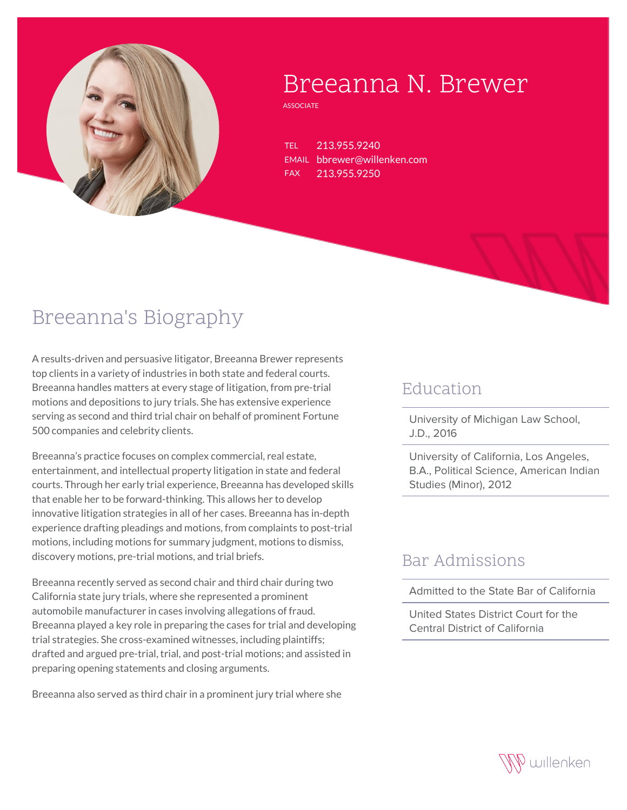

# Breeanna N. Brewer

**ASSOCIATE** 

TEL 213.955.9240 EMAIL bbrewer@willenken.com FAX 213.955.9250

## Breeanna's Biography

A results-driven and persuasive litigator, Breeanna Brewer represents top clients in a variety of industries in both state and federal courts. Breeanna handles matters at every stage of litigation, from pre-trial motions and depositions to jury trials. She has extensive experience serving as second and third trial chair on behalf of prominent Fortune 500 companies and celebrity clients.

Breeanna's practice focuses on complex commercial, real estate, entertainment, and intellectual property litigation in state and federal courts. Through her early trial experience, Breeanna has developed skills that enable her to be forward-thinking. This allows her to develop innovative litigation strategies in all of her cases. Breeanna has in-depth experience drafting pleadings and motions, from complaints to post-trial motions, including motions for summary judgment, motions to dismiss, discovery motions, pre-trial motions, and trial briefs.

Breeanna recently served as second chair and third chair during two California state jury trials, where she represented a prominent automobile manufacturer in cases involving allegations of fraud. Breeanna played a key role in preparing the cases for trial and developing trial strategies. She cross-examined witnesses, including plaintiffs; drafted and argued pre-trial, trial, and post-trial motions; and assisted in preparing opening statements and closing arguments.

Breeanna also served as third chair in a prominent jury trial where she

#### **Education**

University of Michigan Law School, J.D., 2016

University of California, Los Angeles, B.A., Political Science, American Indian Studies (Minor), 2012

### Bar Admissions

Admitted to the State Bar of California

United States District Court for the Central District of California